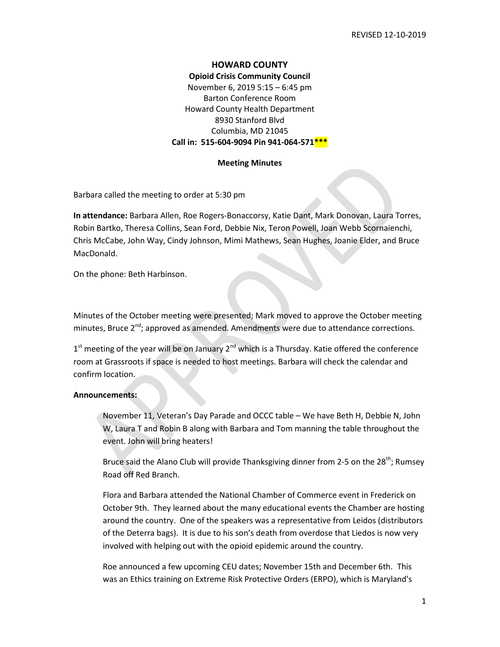## HOWARD COUNTY

Opioid Crisis Community Council November 6, 2019 5:15 – 6:45 pm Barton Conference Room

Howard County Health Department 8930 Stanford Blvd Columbia, MD 21045 Call in: 515-604-9094 Pin 941-064-571 \*\*\*

#### Meeting Minutes

Barbara called the meeting to order at 5:30 pm

In attendance: Barbara Allen, Roe Rogers-Bonaccorsy, Katie Dant, Mark Donovan, Laura Torres, Robin Bartko, Theresa Collins, Sean Ford, Debbie Nix, Teron Powell, Joan Webb Scornaienchi, Chris McCabe, John Way, Cindy Johnson, Mimi Mathews, Sean Hughes, Joanie Elder, and Bruce MacDonald.

On the phone: Beth Harbinson.

Minutes of the October meeting were presented; Mark moved to approve the October meeting minutes, Bruce  $2^{nd}$ ; approved as amended. Amendments were due to attendance corrections.

 $1<sup>st</sup>$  meeting of the year will be on January 2<sup>nd</sup> which is a Thursday. Katie offered the conference room at Grassroots if space is needed to host meetings. Barbara will check the calendar and confirm location.

### Announcements:

November 11, Veteran's Day Parade and OCCC table – We have Beth H, Debbie N, John W, Laura T and Robin B along with Barbara and Tom manning the table throughout the event. John will bring heaters!

Bruce said the Alano Club will provide Thanksgiving dinner from 2-5 on the 28<sup>th</sup>; Rumsey Road off Red Branch.

Flora and Barbara attended the National Chamber of Commerce event in Frederick on October 9th. They learned about the many educational events the Chamber are hosting around the country. One of the speakers was a representative from Leidos (distributors of the Deterra bags). It is due to his son's death from overdose that Liedos is now very involved with helping out with the opioid epidemic around the country.

Roe announced a few upcoming CEU dates; November 15th and December 6th. This was an Ethics training on Extreme Risk Protective Orders (ERPO), which is Maryland's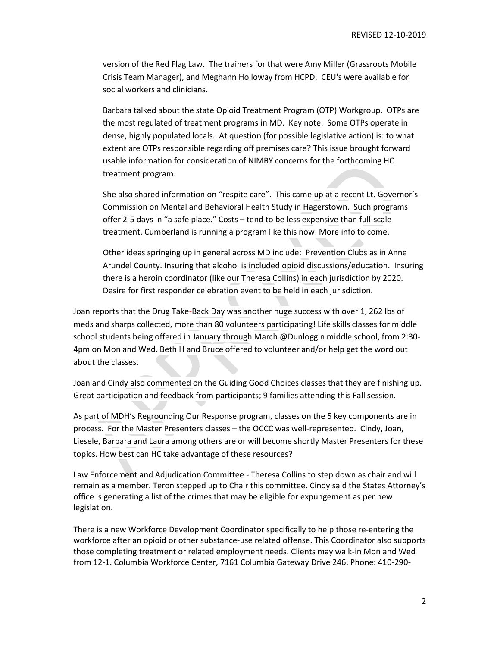version of the Red Flag Law. The trainers for that were Amy Miller (Grassroots Mobile Crisis Team Manager), and Meghann Holloway from HCPD. CEU's were available for social workers and clinicians.

Barbara talked about the state Opioid Treatment Program (OTP) Workgroup. OTPs are the most regulated of treatment programs in MD. Key note: Some OTPs operate in dense, highly populated locals. At question (for possible legislative action) is: to what extent are OTPs responsible regarding off premises care? This issue brought forward usable information for consideration of NIMBY concerns for the forthcoming HC treatment program.

She also shared information on "respite care". This came up at a recent Lt. Governor's Commission on Mental and Behavioral Health Study in Hagerstown. Such programs offer 2-5 days in "a safe place." Costs – tend to be less expensive than full-scale treatment. Cumberland is running a program like this now. More info to come.

Other ideas springing up in general across MD include: Prevention Clubs as in Anne Arundel County. Insuring that alcohol is included opioid discussions/education. Insuring there is a heroin coordinator (like our Theresa Collins) in each jurisdiction by 2020. Desire for first responder celebration event to be held in each jurisdiction.

Joan reports that the Drug Take-Back Day was another huge success with over 1, 262 lbs of meds and sharps collected, more than 80 volunteers participating! Life skills classes for middle school students being offered in January through March @Dunloggin middle school, from 2:30- 4pm on Mon and Wed. Beth H and Bruce offered to volunteer and/or help get the word out about the classes.

Joan and Cindy also commented on the Guiding Good Choices classes that they are finishing up. Great participation and feedback from participants; 9 families attending this Fall session.

As part of MDH's Regrounding Our Response program, classes on the 5 key components are in process. For the Master Presenters classes – the OCCC was well-represented. Cindy, Joan, Liesele, Barbara and Laura among others are or will become shortly Master Presenters for these topics. How best can HC take advantage of these resources?

Law Enforcement and Adjudication Committee - Theresa Collins to step down as chair and will remain as a member. Teron stepped up to Chair this committee. Cindy said the States Attorney's office is generating a list of the crimes that may be eligible for expungement as per new legislation.

There is a new Workforce Development Coordinator specifically to help those re-entering the workforce after an opioid or other substance-use related offense. This Coordinator also supports those completing treatment or related employment needs. Clients may walk-in Mon and Wed from 12-1. Columbia Workforce Center, 7161 Columbia Gateway Drive 246. Phone: 410-290-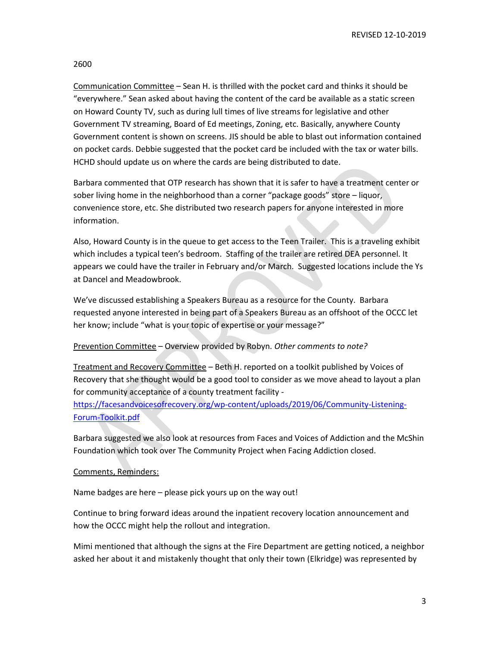REVISED 12-10-2019

2600

Communication Committee – Sean H. is thrilled with the pocket card and thinks it should be "everywhere." Sean asked about having the content of the card be available as a static screen on Howard County TV, such as during lull times of live streams for legislative and other Government TV streaming, Board of Ed meetings, Zoning, etc. Basically, anywhere County Government content is shown on screens. JIS should be able to blast out information contained on pocket cards. Debbie suggested that the pocket card be included with the tax or water bills. HCHD should update us on where the cards are being distributed to date.

Barbara commented that OTP research has shown that it is safer to have a treatment center or sober living home in the neighborhood than a corner "package goods" store – liquor, convenience store, etc. She distributed two research papers for anyone interested in more information.

Also, Howard County is in the queue to get access to the Teen Trailer. This is a traveling exhibit which includes a typical teen's bedroom. Staffing of the trailer are retired DEA personnel. It appears we could have the trailer in February and/or March. Suggested locations include the Ys at Dancel and Meadowbrook.

We've discussed establishing a Speakers Bureau as a resource for the County. Barbara requested anyone interested in being part of a Speakers Bureau as an offshoot of the OCCC let her know; include "what is your topic of expertise or your message?"

# Prevention Committee - Overview provided by Robyn. Other comments to note?

Treatment and Recovery Committee – Beth H. reported on a toolkit published by Voices of Recovery that she thought would be a good tool to consider as we move ahead to layout a plan for community acceptance of a county treatment facility -

https://facesandvoicesofrecovery.org/wp-content/uploads/2019/06/Community-Listening-Forum-Toolkit.pdf

Barbara suggested we also look at resources from Faces and Voices of Addiction and the McShin Foundation which took over The Community Project when Facing Addiction closed.

## Comments, Reminders:

Name badges are here – please pick yours up on the way out!

Continue to bring forward ideas around the inpatient recovery location announcement and how the OCCC might help the rollout and integration.

Mimi mentioned that although the signs at the Fire Department are getting noticed, a neighbor asked her about it and mistakenly thought that only their town (Elkridge) was represented by